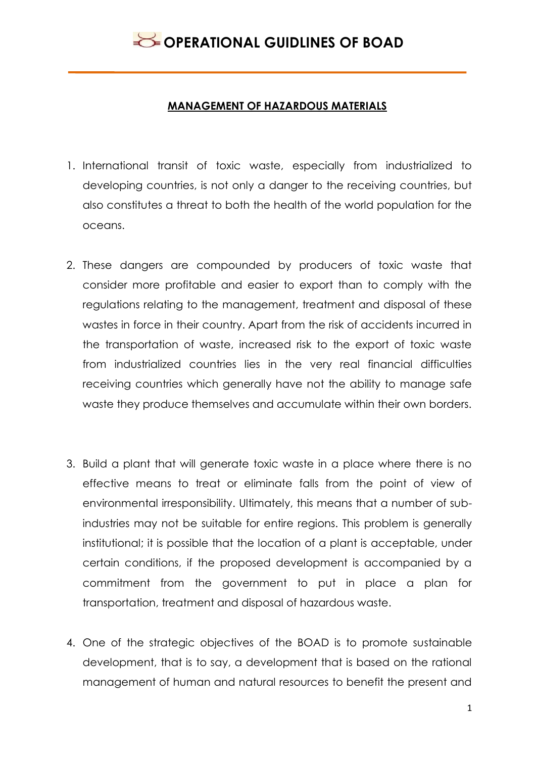#### **MANAGEMENT OF HAZARDOUS MATERIALS**

- 1. International transit of toxic waste, especially from industrialized to developing countries, is not only a danger to the receiving countries, but also constitutes a threat to both the health of the world population for the oceans.
- 2. These dangers are compounded by producers of toxic waste that consider more profitable and easier to export than to comply with the regulations relating to the management, treatment and disposal of these wastes in force in their country. Apart from the risk of accidents incurred in the transportation of waste, increased risk to the export of toxic waste from industrialized countries lies in the very real financial difficulties receiving countries which generally have not the ability to manage safe waste they produce themselves and accumulate within their own borders.
- 3. Build a plant that will generate toxic waste in a place where there is no effective means to treat or eliminate falls from the point of view of environmental irresponsibility. Ultimately, this means that a number of subindustries may not be suitable for entire regions. This problem is generally institutional; it is possible that the location of a plant is acceptable, under certain conditions, if the proposed development is accompanied by a commitment from the government to put in place a plan for transportation, treatment and disposal of hazardous waste.
- 4. One of the strategic objectives of the BOAD is to promote sustainable development, that is to say, a development that is based on the rational management of human and natural resources to benefit the present and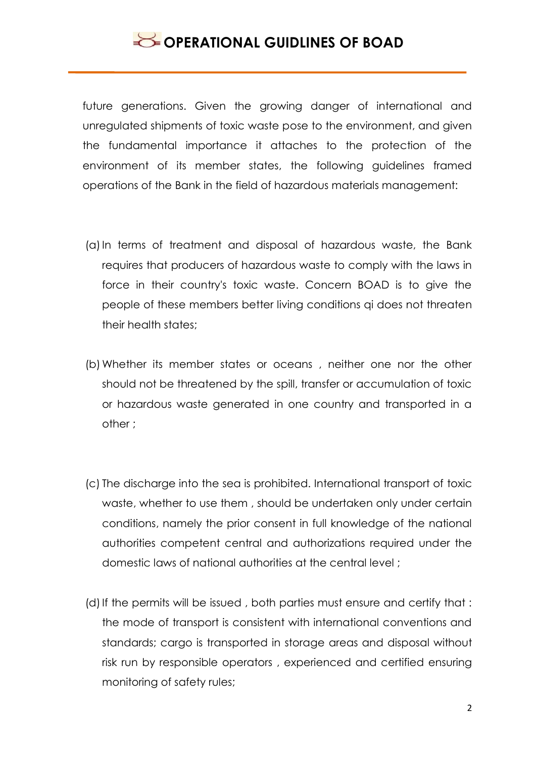future generations. Given the growing danger of international and unregulated shipments of toxic waste pose to the environment, and given the fundamental importance it attaches to the protection of the environment of its member states, the following guidelines framed operations of the Bank in the field of hazardous materials management:

- (a)In terms of treatment and disposal of hazardous waste, the Bank requires that producers of hazardous waste to comply with the laws in force in their country's toxic waste. Concern BOAD is to give the people of these members better living conditions qi does not threaten their health states;
- (b)Whether its member states or oceans , neither one nor the other should not be threatened by the spill, transfer or accumulation of toxic or hazardous waste generated in one country and transported in a other ;
- (c) The discharge into the sea is prohibited. International transport of toxic waste, whether to use them , should be undertaken only under certain conditions, namely the prior consent in full knowledge of the national authorities competent central and authorizations required under the domestic laws of national authorities at the central level ;
- (d) If the permits will be issued, both parties must ensure and certify that: the mode of transport is consistent with international conventions and standards; cargo is transported in storage areas and disposal without risk run by responsible operators , experienced and certified ensuring monitoring of safety rules;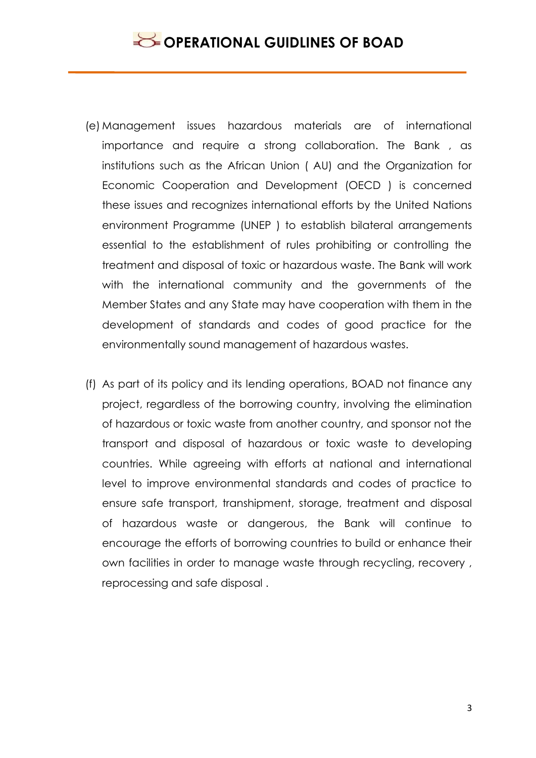- (e) Management issues hazardous materials are of international importance and require a strong collaboration. The Bank , as institutions such as the African Union ( AU) and the Organization for Economic Cooperation and Development (OECD ) is concerned these issues and recognizes international efforts by the United Nations environment Programme (UNEP ) to establish bilateral arrangements essential to the establishment of rules prohibiting or controlling the treatment and disposal of toxic or hazardous waste. The Bank will work with the international community and the governments of the Member States and any State may have cooperation with them in the development of standards and codes of good practice for the environmentally sound management of hazardous wastes.
- (f) As part of its policy and its lending operations, BOAD not finance any project, regardless of the borrowing country, involving the elimination of hazardous or toxic waste from another country, and sponsor not the transport and disposal of hazardous or toxic waste to developing countries. While agreeing with efforts at national and international level to improve environmental standards and codes of practice to ensure safe transport, transhipment, storage, treatment and disposal of hazardous waste or dangerous, the Bank will continue to encourage the efforts of borrowing countries to build or enhance their own facilities in order to manage waste through recycling, recovery , reprocessing and safe disposal .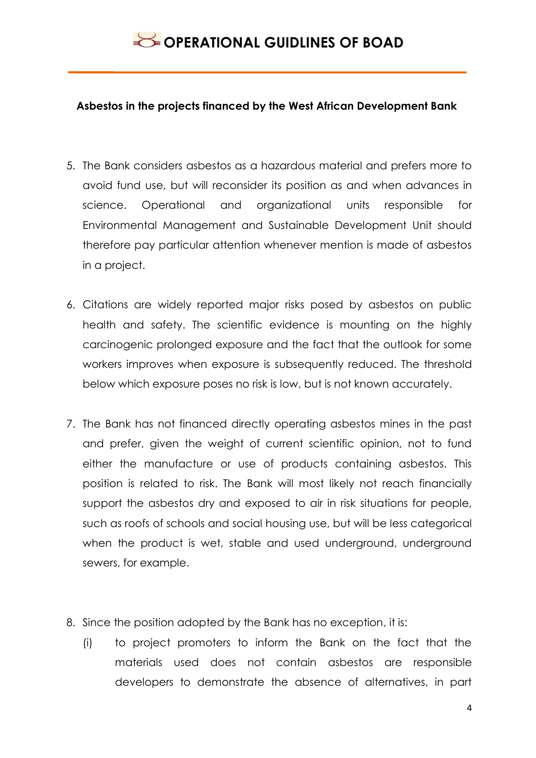#### **Asbestos in the projects financed by the West African Development Bank**

- 5. The Bank considers asbestos as a hazardous material and prefers more to avoid fund use, but will reconsider its position as and when advances in science. Operational and organizational units responsible for Environmental Management and Sustainable Development Unit should therefore pay particular attention whenever mention is made of asbestos in a project.
- 6. Citations are widely reported major risks posed by asbestos on public health and safety. The scientific evidence is mounting on the highly carcinogenic prolonged exposure and the fact that the outlook for some workers improves when exposure is subsequently reduced. The threshold below which exposure poses no risk is low, but is not known accurately.
- 7. The Bank has not financed directly operating asbestos mines in the past and prefer, given the weight of current scientific opinion, not to fund either the manufacture or use of products containing asbestos. This position is related to risk. The Bank will most likely not reach financially support the asbestos dry and exposed to air in risk situations for people, such as roofs of schools and social housing use, but will be less categorical when the product is wet, stable and used underground, underground sewers, for example.
- 8. Since the position adopted by the Bank has no exception, it is:
	- (i) to project promoters to inform the Bank on the fact that the materials used does not contain asbestos are responsible developers to demonstrate the absence of alternatives, in part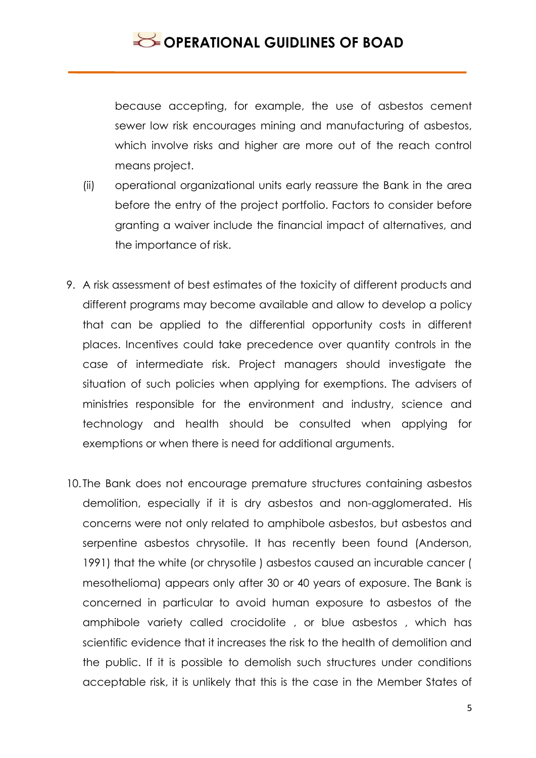because accepting, for example, the use of asbestos cement sewer low risk encourages mining and manufacturing of asbestos, which involve risks and higher are more out of the reach control means project.

- (ii) operational organizational units early reassure the Bank in the area before the entry of the project portfolio. Factors to consider before granting a waiver include the financial impact of alternatives, and the importance of risk.
- 9. A risk assessment of best estimates of the toxicity of different products and different programs may become available and allow to develop a policy that can be applied to the differential opportunity costs in different places. Incentives could take precedence over quantity controls in the case of intermediate risk. Project managers should investigate the situation of such policies when applying for exemptions. The advisers of ministries responsible for the environment and industry, science and technology and health should be consulted when applying for exemptions or when there is need for additional arguments.
- 10. The Bank does not encourage premature structures containing asbestos demolition, especially if it is dry asbestos and non-agglomerated. His concerns were not only related to amphibole asbestos, but asbestos and serpentine asbestos chrysotile. It has recently been found (Anderson, 1991) that the white (or chrysotile ) asbestos caused an incurable cancer ( mesothelioma) appears only after 30 or 40 years of exposure. The Bank is concerned in particular to avoid human exposure to asbestos of the amphibole variety called crocidolite , or blue asbestos , which has scientific evidence that it increases the risk to the health of demolition and the public. If it is possible to demolish such structures under conditions acceptable risk, it is unlikely that this is the case in the Member States of